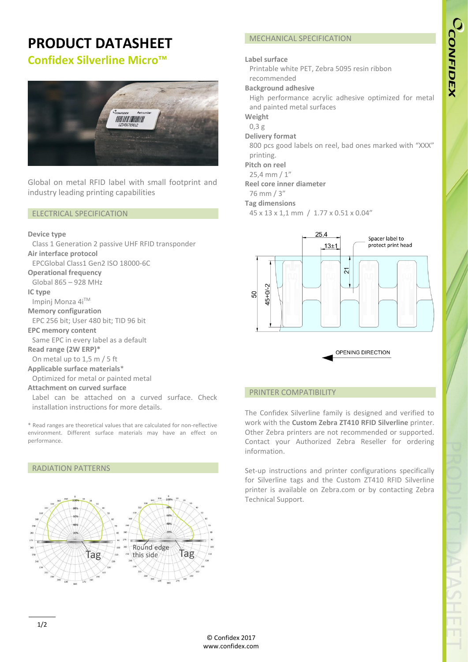## **PRODUCT DATASHEET**

## **Confidex Silverline Micro™**



Global on metal RFID label with small footprint and industry leading printing capabilities

#### ELECTRICAL SPECIFICATION

#### **Device type**

Class 1 Generation 2 passive UHF RFID transponder **Air interface protocol** EPCGlobal Class1 Gen2 ISO 18000-6C **Operational frequency** Global 865 – 928 MHz **IC type** Impinj Monza 4iTM **Memory configuration** EPC 256 bit; User 480 bit; TID 96 bit **EPC memory content** Same EPC in every label as a default **Read range (2W ERP)\*** On metal up to 1,5 m / 5 ft

**Applicable surface materials**\*

Optimized for metal or painted metal

#### **Attachment on curved surface**

RADIATION PATTERNS

Label can be attached on a curved surface. Check installation instructions for more details.

\* Read ranges are theoretical values that are calculated for non-reflective environment. Different surface materials may have an effect on performance.

# Round edge Tag this side Tag

#### MECHANICAL SPECIFICATION

#### **Label surface**

Printable white PET, Zebra 5095 resin ribbon recommended

#### **Background adhesive**

High performance acrylic adhesive optimized for metal and painted metal surfaces

**Weight**

### 0,3 g

**Delivery format**

800 pcs good labels on reel, bad ones marked with "XXX" printing.

**Pitch on reel**

25,4 mm / 1"

#### **Reel core inner diameter**

76 mm / 3"

#### **Tag dimensions**

45 x 13 x 1,1 mm / 1.77 x 0.51 x 0.04"



OPENING DIRECTION

#### PRINTER COMPATIBILITY

The Confidex Silverline family is designed and verified to work with the **Custom Zebra ZT410 RFID Silverline** printer. Other Zebra printers are not recommended or supported. Contact your Authorized Zebra Reseller for ordering information.

Set-up instructions and printer configurations specifically for Silverline tags and the Custom ZT410 RFID Silverline printer is available on Zebra.com or by contacting Zebra Technical Support.